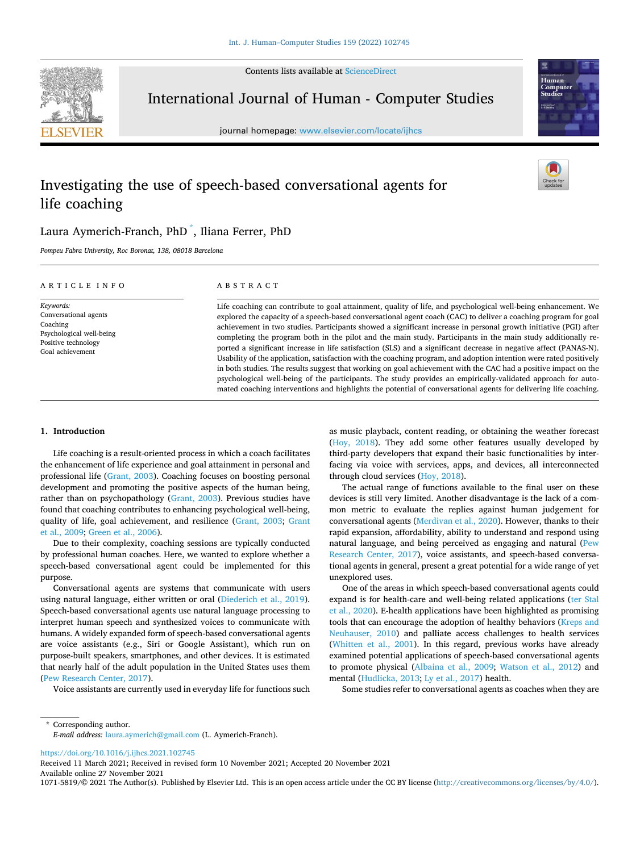Contents lists available at [ScienceDirect](www.sciencedirect.com/science/journal/10715819)



International Journal of Human - Computer Studies

journal homepage: [www.elsevier.com/locate/ijhcs](https://www.elsevier.com/locate/ijhcs)



# Investigating the use of speech-based conversational agents for life coaching



## Laura Aymerich-Franch, PhD<sup>\*</sup>, Iliana Ferrer, PhD

*Pompeu Fabra University, Roc Boronat, 138, 08018 Barcelona* 

| ARTICLE INFO                                                                                                          | ABSTRACT                                                                                                                                                                                                                                                                                                                                                                                                                                                                                                                                                                                                                                                                                                                                                                                                                                                                                                                                                                                                                                                                |
|-----------------------------------------------------------------------------------------------------------------------|-------------------------------------------------------------------------------------------------------------------------------------------------------------------------------------------------------------------------------------------------------------------------------------------------------------------------------------------------------------------------------------------------------------------------------------------------------------------------------------------------------------------------------------------------------------------------------------------------------------------------------------------------------------------------------------------------------------------------------------------------------------------------------------------------------------------------------------------------------------------------------------------------------------------------------------------------------------------------------------------------------------------------------------------------------------------------|
| Keywords:<br>Conversational agents<br>Coaching<br>Psychological well-being<br>Positive technology<br>Goal achievement | Life coaching can contribute to goal attainment, quality of life, and psychological well-being enhancement. We<br>explored the capacity of a speech-based conversational agent coach (CAC) to deliver a coaching program for goal<br>achievement in two studies. Participants showed a significant increase in personal growth initiative (PGI) after<br>completing the program both in the pilot and the main study. Participants in the main study additionally re-<br>ported a significant increase in life satisfaction (SLS) and a significant decrease in negative affect (PANAS-N).<br>Usability of the application, satisfaction with the coaching program, and adoption intention were rated positively<br>in both studies. The results suggest that working on goal achievement with the CAC had a positive impact on the<br>psychological well-being of the participants. The study provides an empirically-validated approach for auto-<br>mated coaching interventions and highlights the potential of conversational agents for delivering life coaching. |

#### **1. Introduction**

Life coaching is a result-oriented process in which a coach facilitates the enhancement of life experience and goal attainment in personal and professional life ([Grant, 2003\)](#page-6-0). Coaching focuses on boosting personal development and promoting the positive aspects of the human being, rather than on psychopathology [\(Grant, 2003](#page-6-0)). Previous studies have found that coaching contributes to enhancing psychological well-being, quality of life, goal achievement, and resilience [\(Grant, 2003;](#page-6-0) [Grant](#page-6-0)  [et al., 2009; Green et al., 2006](#page-6-0)).

Due to their complexity, coaching sessions are typically conducted by professional human coaches. Here, we wanted to explore whether a speech-based conversational agent could be implemented for this purpose.

Conversational agents are systems that communicate with users using natural language, either written or oral ([Diederich et al., 2019](#page-6-0)). Speech-based conversational agents use natural language processing to interpret human speech and synthesized voices to communicate with humans. A widely expanded form of speech-based conversational agents are voice assistants (e.g., Siri or Google Assistant), which run on purpose-built speakers, smartphones, and other devices. It is estimated that nearly half of the adult population in the United States uses them ([Pew Research Center, 2017](#page-6-0)).

Voice assistants are currently used in everyday life for functions such

as music playback, content reading, or obtaining the weather forecast ([Hoy, 2018](#page-6-0)). They add some other features usually developed by third-party developers that expand their basic functionalities by interfacing via voice with services, apps, and devices, all interconnected through cloud services ([Hoy, 2018\)](#page-6-0).

The actual range of functions available to the final user on these devices is still very limited. Another disadvantage is the lack of a common metric to evaluate the replies against human judgement for conversational agents ([Merdivan et al., 2020](#page-6-0)). However, thanks to their rapid expansion, affordability, ability to understand and respond using natural language, and being perceived as engaging and natural ([Pew](#page-6-0)  [Research Center, 2017](#page-6-0)), voice assistants, and speech-based conversational agents in general, present a great potential for a wide range of yet unexplored uses.

One of the areas in which speech-based conversational agents could expand is for health-care and well-being related applications (ter Stal [et al., 2020\)](#page-6-0). E-health applications have been highlighted as promising tools that can encourage the adoption of healthy behaviors [\(Kreps and](#page-6-0)  [Neuhauser, 2010\)](#page-6-0) and palliate access challenges to health services ([Whitten et al., 2001](#page-7-0)). In this regard, previous works have already examined potential applications of speech-based conversational agents to promote physical [\(Albaina et al., 2009;](#page-6-0) [Watson et al., 2012\)](#page-6-0) and mental [\(Hudlicka, 2013; Ly et al., 2017](#page-6-0)) health.

Some studies refer to conversational agents as coaches when they are

\* Corresponding author. *E-mail address:* [laura.aymerich@gmail.com](mailto:laura.aymerich@gmail.com) (L. Aymerich-Franch).

<https://doi.org/10.1016/j.ijhcs.2021.102745>

Available online 27 November 2021 Received 11 March 2021; Received in revised form 10 November 2021; Accepted 20 November 2021

1071-5819/© 2021 The Author(s). Published by Elsevier Ltd. This is an open access article under the CC BY license [\(http://creativecommons.org/licenses/by/4.0/\)](http://creativecommons.org/licenses/by/4.0/).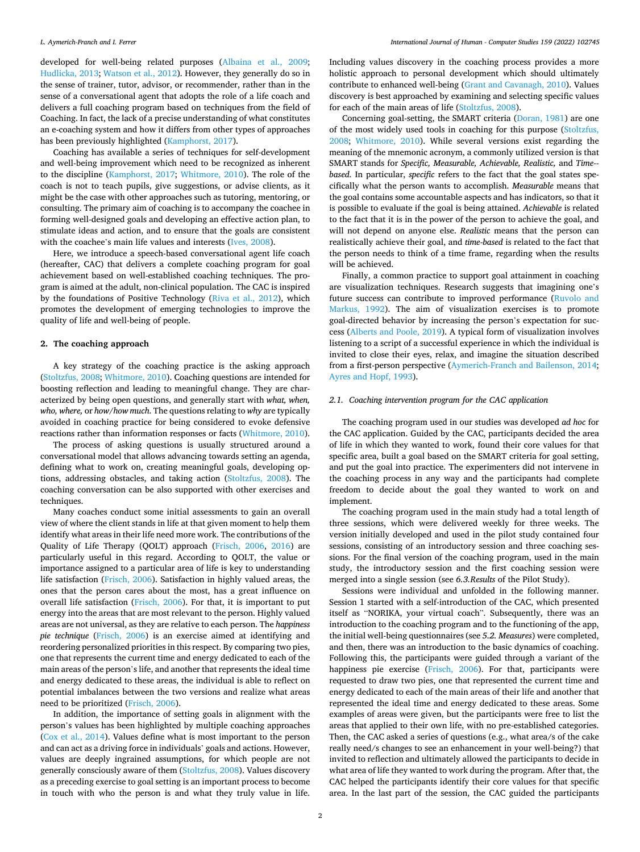developed for well-being related purposes [\(Albaina et al., 2009](#page-6-0); [Hudlicka, 2013; Watson et al., 2012\)](#page-6-0). However, they generally do so in the sense of trainer, tutor, advisor, or recommender, rather than in the sense of a conversational agent that adopts the role of a life coach and delivers a full coaching program based on techniques from the field of Coaching. In fact, the lack of a precise understanding of what constitutes an e-coaching system and how it differs from other types of approaches has been previously highlighted ([Kamphorst, 2017\)](#page-6-0).

Coaching has available a series of techniques for self-development and well-being improvement which need to be recognized as inherent to the discipline ([Kamphorst, 2017;](#page-6-0) [Whitmore, 2010\)](#page-7-0). The role of the coach is not to teach pupils, give suggestions, or advise clients, as it might be the case with other approaches such as tutoring, mentoring, or consulting. The primary aim of coaching is to accompany the coachee in forming well-designed goals and developing an effective action plan, to stimulate ideas and action, and to ensure that the goals are consistent with the coachee's main life values and interests ([Ives, 2008](#page-6-0)).

Here, we introduce a speech-based conversational agent life coach (hereafter, CAC) that delivers a complete coaching program for goal achievement based on well-established coaching techniques. The program is aimed at the adult, non-clinical population. The CAC is inspired by the foundations of Positive Technology [\(Riva et al., 2012\)](#page-6-0), which promotes the development of emerging technologies to improve the quality of life and well-being of people.

#### **2. The coaching approach**

A key strategy of the coaching practice is the asking approach ([Stoltzfus, 2008](#page-6-0); [Whitmore, 2010\)](#page-7-0). Coaching questions are intended for boosting reflection and leading to meaningful change. They are characterized by being open questions, and generally start with *what, when, who, where,* or *how/how much*. The questions relating to *why* are typically avoided in coaching practice for being considered to evoke defensive reactions rather than information responses or facts ([Whitmore, 2010](#page-7-0)).

The process of asking questions is usually structured around a conversational model that allows advancing towards setting an agenda, defining what to work on, creating meaningful goals, developing options, addressing obstacles, and taking action ([Stoltzfus, 2008](#page-6-0)). The coaching conversation can be also supported with other exercises and techniques.

Many coaches conduct some initial assessments to gain an overall view of where the client stands in life at that given moment to help them identify what areas in their life need more work. The contributions of the Quality of Life Therapy (QOLT) approach [\(Frisch, 2006](#page-6-0), [2016](#page-6-0)) are particularly useful in this regard. According to QOLT, the value or importance assigned to a particular area of life is key to understanding life satisfaction [\(Frisch, 2006\)](#page-6-0). Satisfaction in highly valued areas, the ones that the person cares about the most, has a great influence on overall life satisfaction [\(Frisch, 2006\)](#page-6-0). For that, it is important to put energy into the areas that are most relevant to the person. Highly valued areas are not universal, as they are relative to each person. The *happiness pie technique* ([Frisch, 2006](#page-6-0)) is an exercise aimed at identifying and reordering personalized priorities in this respect. By comparing two pies, one that represents the current time and energy dedicated to each of the main areas of the person's life, and another that represents the ideal time and energy dedicated to these areas, the individual is able to reflect on potential imbalances between the two versions and realize what areas need to be prioritized [\(Frisch, 2006](#page-6-0)).

In addition, the importance of setting goals in alignment with the person's values has been highlighted by multiple coaching approaches ([Cox et al., 2014](#page-6-0)). Values define what is most important to the person and can act as a driving force in individuals' goals and actions. However, values are deeply ingrained assumptions, for which people are not generally consciously aware of them [\(Stoltzfus, 2008\)](#page-6-0). Values discovery as a preceding exercise to goal setting is an important process to become in touch with who the person is and what they truly value in life.

Including values discovery in the coaching process provides a more holistic approach to personal development which should ultimately contribute to enhanced well-being [\(Grant and Cavanagh, 2010\)](#page-6-0). Values discovery is best approached by examining and selecting specific values for each of the main areas of life [\(Stoltzfus, 2008](#page-6-0)).

Concerning goal-setting, the SMART criteria [\(Doran, 1981\)](#page-6-0) are one of the most widely used tools in coaching for this purpose [\(Stoltzfus,](#page-6-0)  [2008;](#page-6-0) [Whitmore, 2010\)](#page-7-0). While several versions exist regarding the meaning of the mnemonic acronym, a commonly utilized version is that SMART stands for *Specific, Measurable, Achievable, Realistic,* and *Time-based*. In particular, *specific* refers to the fact that the goal states specifically what the person wants to accomplish. *Measurable* means that the goal contains some accountable aspects and has indicators, so that it is possible to evaluate if the goal is being attained. *Achievable* is related to the fact that it is in the power of the person to achieve the goal, and will not depend on anyone else. *Realistic* means that the person can realistically achieve their goal, and *time-based* is related to the fact that the person needs to think of a time frame, regarding when the results will be achieved.

Finally, a common practice to support goal attainment in coaching are visualization techniques. Research suggests that imagining one's future success can contribute to improved performance ([Ruvolo and](#page-6-0)  [Markus, 1992](#page-6-0)). The aim of visualization exercises is to promote goal-directed behavior by increasing the person's expectation for success ([Alberts and Poole, 2019\)](#page-6-0). A typical form of visualization involves listening to a script of a successful experience in which the individual is invited to close their eyes, relax, and imagine the situation described from a first-person perspective [\(Aymerich-Franch and Bailenson, 2014](#page-6-0); [Ayres and Hopf, 1993](#page-6-0)).

#### *2.1. Coaching intervention program for the CAC application*

The coaching program used in our studies was developed *ad hoc* for the CAC application. Guided by the CAC, participants decided the area of life in which they wanted to work, found their core values for that specific area, built a goal based on the SMART criteria for goal setting, and put the goal into practice. The experimenters did not intervene in the coaching process in any way and the participants had complete freedom to decide about the goal they wanted to work on and implement.

The coaching program used in the main study had a total length of three sessions, which were delivered weekly for three weeks. The version initially developed and used in the pilot study contained four sessions, consisting of an introductory session and three coaching sessions. For the final version of the coaching program, used in the main study, the introductory session and the first coaching session were merged into a single session (see *6.3.Results* of the Pilot Study).

Sessions were individual and unfolded in the following manner. Session 1 started with a self-introduction of the CAC, which presented itself as "NORIKA, your virtual coach". Subsequently, there was an introduction to the coaching program and to the functioning of the app, the initial well-being questionnaires (see *5.2. Measures*) were completed, and then, there was an introduction to the basic dynamics of coaching. Following this, the participants were guided through a variant of the happiness pie exercise ([Frisch, 2006](#page-6-0)). For that, participants were requested to draw two pies, one that represented the current time and energy dedicated to each of the main areas of their life and another that represented the ideal time and energy dedicated to these areas. Some examples of areas were given, but the participants were free to list the areas that applied to their own life, with no pre-established categories. Then, the CAC asked a series of questions (e.g., what area/s of the cake really need/s changes to see an enhancement in your well-being?) that invited to reflection and ultimately allowed the participants to decide in what area of life they wanted to work during the program. After that, the CAC helped the participants identify their core values for that specific area. In the last part of the session, the CAC guided the participants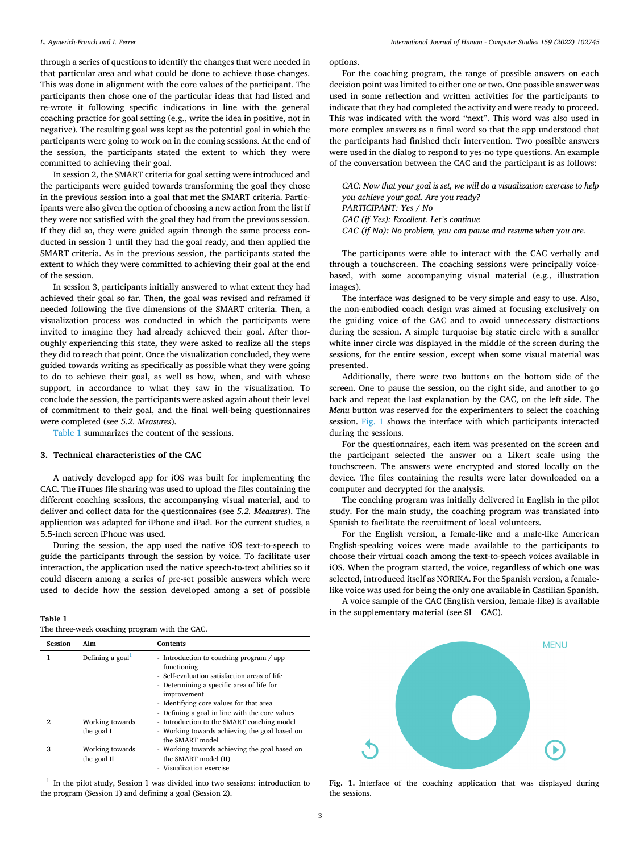through a series of questions to identify the changes that were needed in that particular area and what could be done to achieve those changes. This was done in alignment with the core values of the participant. The participants then chose one of the particular ideas that had listed and re-wrote it following specific indications in line with the general coaching practice for goal setting (e.g., write the idea in positive, not in negative). The resulting goal was kept as the potential goal in which the participants were going to work on in the coming sessions. At the end of the session, the participants stated the extent to which they were committed to achieving their goal.

In session 2, the SMART criteria for goal setting were introduced and the participants were guided towards transforming the goal they chose in the previous session into a goal that met the SMART criteria. Participants were also given the option of choosing a new action from the list if they were not satisfied with the goal they had from the previous session. If they did so, they were guided again through the same process conducted in session 1 until they had the goal ready, and then applied the SMART criteria. As in the previous session, the participants stated the extent to which they were committed to achieving their goal at the end of the session.

In session 3, participants initially answered to what extent they had achieved their goal so far. Then, the goal was revised and reframed if needed following the five dimensions of the SMART criteria. Then, a visualization process was conducted in which the participants were invited to imagine they had already achieved their goal. After thoroughly experiencing this state, they were asked to realize all the steps they did to reach that point. Once the visualization concluded, they were guided towards writing as specifically as possible what they were going to do to achieve their goal, as well as how, when, and with whose support, in accordance to what they saw in the visualization. To conclude the session, the participants were asked again about their level of commitment to their goal, and the final well-being questionnaires were completed (see *5.2. Measures*).

Table 1 summarizes the content of the sessions.

#### **3. Technical characteristics of the CAC**

A natively developed app for iOS was built for implementing the CAC. The iTunes file sharing was used to upload the files containing the different coaching sessions, the accompanying visual material, and to deliver and collect data for the questionnaires (see *5.2. Measures*). The application was adapted for iPhone and iPad. For the current studies, a 5.5-inch screen iPhone was used.

During the session, the app used the native iOS text-to-speech to guide the participants through the session by voice. To facilitate user interaction, the application used the native speech-to-text abilities so it could discern among a series of pre-set possible answers which were used to decide how the session developed among a set of possible

| The three-week coaching program with the CAC. |  |  |  |
|-----------------------------------------------|--|--|--|
|-----------------------------------------------|--|--|--|

| Session | Aim                            | Contents                                                                                                                                                                                                       |
|---------|--------------------------------|----------------------------------------------------------------------------------------------------------------------------------------------------------------------------------------------------------------|
|         | Defining a goal                | - Introduction to coaching program / app<br>functioning<br>- Self-evaluation satisfaction areas of life<br>- Determining a specific area of life for<br>improvement<br>- Identifying core values for that area |
|         |                                | - Defining a goal in line with the core values                                                                                                                                                                 |
| 2       | Working towards                | - Introduction to the SMART coaching model                                                                                                                                                                     |
|         | the goal I                     | - Working towards achieving the goal based on<br>the SMART model                                                                                                                                               |
| 3       | Working towards<br>the goal II | - Working towards achieving the goal based on<br>the SMART model (II)<br>- Visualization exercise                                                                                                              |

 $1$  In the pilot study, Session 1 was divided into two sessions: introduction to the program (Session 1) and defining a goal (Session 2).

options.

For the coaching program, the range of possible answers on each decision point was limited to either one or two. One possible answer was used in some reflection and written activities for the participants to indicate that they had completed the activity and were ready to proceed. This was indicated with the word "next". This word was also used in more complex answers as a final word so that the app understood that the participants had finished their intervention. Two possible answers were used in the dialog to respond to yes-no type questions. An example of the conversation between the CAC and the participant is as follows:

*CAC: Now that your goal is set, we will do a visualization exercise to help you achieve your goal. Are you ready? PARTICIPANT: Yes / No CAC (if Yes): Excellent. Let's continue CAC (if No): No problem, you can pause and resume when you are.* 

The participants were able to interact with the CAC verbally and through a touchscreen. The coaching sessions were principally voicebased, with some accompanying visual material (e.g., illustration images).

The interface was designed to be very simple and easy to use. Also, the non-embodied coach design was aimed at focusing exclusively on the guiding voice of the CAC and to avoid unnecessary distractions during the session. A simple turquoise big static circle with a smaller white inner circle was displayed in the middle of the screen during the sessions, for the entire session, except when some visual material was presented.

Additionally, there were two buttons on the bottom side of the screen. One to pause the session, on the right side, and another to go back and repeat the last explanation by the CAC, on the left side. The *Menu* button was reserved for the experimenters to select the coaching session. Fig. 1 shows the interface with which participants interacted during the sessions.

For the questionnaires, each item was presented on the screen and the participant selected the answer on a Likert scale using the touchscreen. The answers were encrypted and stored locally on the device. The files containing the results were later downloaded on a computer and decrypted for the analysis.

The coaching program was initially delivered in English in the pilot study. For the main study, the coaching program was translated into Spanish to facilitate the recruitment of local volunteers.

For the English version, a female-like and a male-like American English-speaking voices were made available to the participants to choose their virtual coach among the text-to-speech voices available in iOS. When the program started, the voice, regardless of which one was selected, introduced itself as NORIKA. For the Spanish version, a femalelike voice was used for being the only one available in Castilian Spanish.

A voice sample of the CAC (English version, female-like) is available in the supplementary material (see SI – CAC). **Table 1** 



**Fig. 1.** Interface of the coaching application that was displayed during the sessions.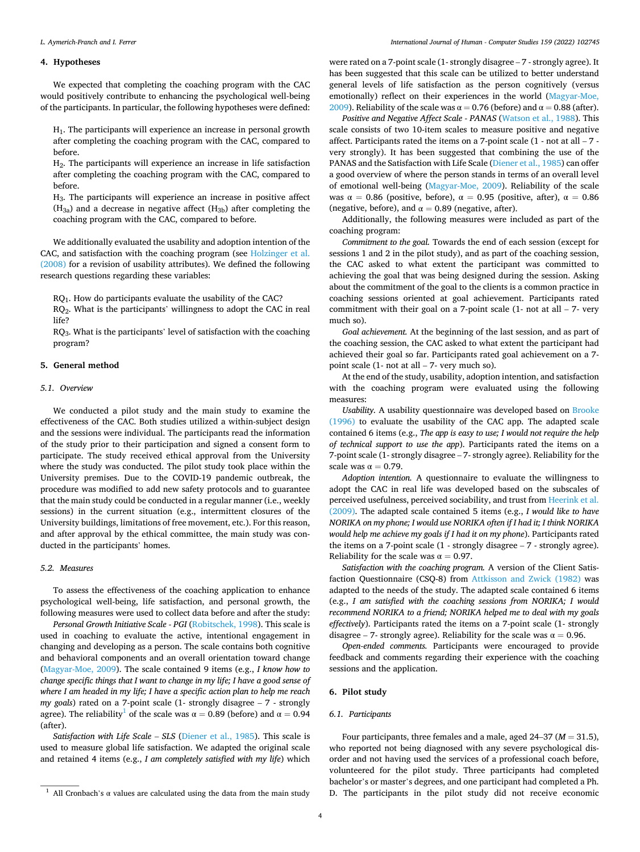#### *L. Aymerich-Franch and I. Ferrer*

#### **4. Hypotheses**

We expected that completing the coaching program with the CAC would positively contribute to enhancing the psychological well-being of the participants. In particular, the following hypotheses were defined:

H1. The participants will experience an increase in personal growth after completing the coaching program with the CAC, compared to before.

H2. The participants will experience an increase in life satisfaction after completing the coaching program with the CAC, compared to before.

H3. The participants will experience an increase in positive affect  $(H_{3a})$  and a decrease in negative affect  $(H_{3b})$  after completing the coaching program with the CAC, compared to before.

We additionally evaluated the usability and adoption intention of the CAC, and satisfaction with the coaching program (see [Holzinger et al.](#page-6-0)  [\(2008\)](#page-6-0) for a revision of usability attributes). We defined the following research questions regarding these variables:

RQ1. How do participants evaluate the usability of the CAC?

RQ2. What is the participants' willingness to adopt the CAC in real life?

RQ3. What is the participants' level of satisfaction with the coaching program?

#### **5. General method**

#### *5.1. Overview*

We conducted a pilot study and the main study to examine the effectiveness of the CAC. Both studies utilized a within-subject design and the sessions were individual. The participants read the information of the study prior to their participation and signed a consent form to participate. The study received ethical approval from the University where the study was conducted. The pilot study took place within the University premises. Due to the COVID-19 pandemic outbreak, the procedure was modified to add new safety protocols and to guarantee that the main study could be conducted in a regular manner (i.e., weekly sessions) in the current situation (e.g., intermittent closures of the University buildings, limitations of free movement, etc.). For this reason, and after approval by the ethical committee, the main study was conducted in the participants' homes.

#### *5.2. Measures*

To assess the effectiveness of the coaching application to enhance psychological well-being, life satisfaction, and personal growth, the following measures were used to collect data before and after the study:

*Personal Growth Initiative Scale - PGI ([Robitschek, 1998\)](#page-6-0). This scale is* used in coaching to evaluate the active, intentional engagement in changing and developing as a person. The scale contains both cognitive and behavioral components and an overall orientation toward change ([Magyar-Moe, 2009](#page-6-0)). The scale contained 9 items (e.g., *I know how to change specific things that I want to change in my life; I have a good sense of where I am headed in my life; I have a specific action plan to help me reach my goals*) rated on a 7-point scale (1- strongly disagree – 7 - strongly agree). The reliability<sup>1</sup> of the scale was  $\alpha = 0.89$  (before) and  $\alpha = 0.94$ (after).

*Satisfaction with Life Scale* – *SLS* [\(Diener et al., 1985\)](#page-6-0). This scale is used to measure global life satisfaction. We adapted the original scale and retained 4 items (e.g., *I am completely satisfied with my life*) which

were rated on a 7-point scale (1- strongly disagree – 7 - strongly agree). It has been suggested that this scale can be utilized to better understand general levels of life satisfaction as the person cognitively (versus emotionally) reflect on their experiences in the world [\(Magyar-Moe,](#page-6-0)  [2009\)](#page-6-0). Reliability of the scale was  $\alpha = 0.76$  (before) and  $\alpha = 0.88$  (after).

*Positive and Negative Affect Scale - PANAS* [\(Watson et al., 1988](#page-7-0)). This scale consists of two 10-item scales to measure positive and negative affect. Participants rated the items on a 7-point scale (1 - not at all – 7 very strongly). It has been suggested that combining the use of the PANAS and the Satisfaction with Life Scale ([Diener et al., 1985\)](#page-6-0) can offer a good overview of where the person stands in terms of an overall level of emotional well-being [\(Magyar-Moe, 2009](#page-6-0)). Reliability of the scale was  $\alpha = 0.86$  (positive, before),  $\alpha = 0.95$  (positive, after),  $\alpha = 0.86$ (negative, before), and  $\alpha = 0.89$  (negative, after).

Additionally, the following measures were included as part of the coaching program:

*Commitment to the goal.* Towards the end of each session (except for sessions 1 and 2 in the pilot study), and as part of the coaching session, the CAC asked to what extent the participant was committed to achieving the goal that was being designed during the session. Asking about the commitment of the goal to the clients is a common practice in coaching sessions oriented at goal achievement. Participants rated commitment with their goal on a 7-point scale (1- not at all – 7- very much so).

*Goal achievement.* At the beginning of the last session, and as part of the coaching session, the CAC asked to what extent the participant had achieved their goal so far. Participants rated goal achievement on a 7 point scale (1- not at all – 7- very much so).

At the end of the study, usability, adoption intention, and satisfaction with the coaching program were evaluated using the following measures:

*Usability.* A usability questionnaire was developed based on [Brooke](#page-6-0)  [\(1996\)](#page-6-0) to evaluate the usability of the CAC app. The adapted scale contained 6 items (e.g., *The app is easy to use; I would not require the help of technical support to use the app*). Participants rated the items on a 7-point scale (1- strongly disagree – 7- strongly agree). Reliability for the scale was  $\alpha = 0.79$ .

*Adoption intention.* A questionnaire to evaluate the willingness to adopt the CAC in real life was developed based on the subscales of perceived usefulness, perceived sociability, and trust from [Heerink et al.](#page-6-0)  [\(2009\).](#page-6-0) The adapted scale contained 5 items (e.g., *I would like to have NORIKA on my phone; I would use NORIKA often if I had it; I think NORIKA would help me achieve my goals if I had it on my phone*). Participants rated the items on a 7-point scale (1 - strongly disagree – 7 - strongly agree). Reliability for the scale was  $\alpha = 0.97$ .

*Satisfaction with the coaching program.* A version of the Client Satisfaction Questionnaire (CSQ-8) from [Attkisson and Zwick \(1982\)](#page-6-0) was adapted to the needs of the study. The adapted scale contained 6 items (e.g., *I am satisfied with the coaching sessions from NORIKA; I would recommend NORIKA to a friend; NORIKA helped me to deal with my goals effectively*). Participants rated the items on a 7-point scale (1- strongly disagree – 7- strongly agree). Reliability for the scale was  $\alpha = 0.96$ .

*Open-ended comments.* Participants were encouraged to provide feedback and comments regarding their experience with the coaching sessions and the application.

#### **6. Pilot study**

#### *6.1. Participants*

Four participants, three females and a male, aged  $24-37$  ( $M = 31.5$ ), who reported not being diagnosed with any severe psychological disorder and not having used the services of a professional coach before, volunteered for the pilot study. Three participants had completed bachelor's or master's degrees, and one participant had completed a Ph. <sup>1</sup> All Cronbach's  $\alpha$  values are calculated using the data from the main study **D.** The participants in the pilot study did not receive economic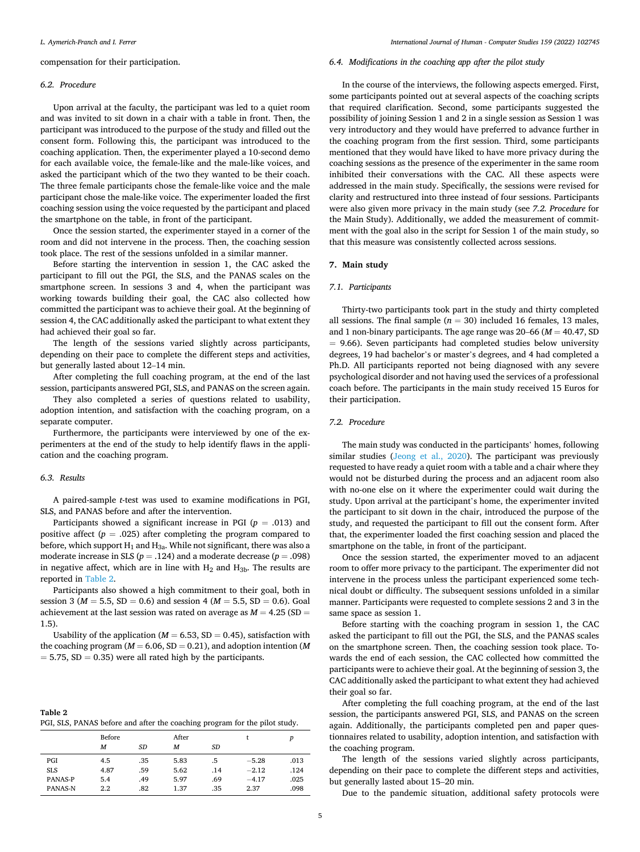#### compensation for their participation.

#### *6.2. Procedure*

Upon arrival at the faculty, the participant was led to a quiet room and was invited to sit down in a chair with a table in front. Then, the participant was introduced to the purpose of the study and filled out the consent form. Following this, the participant was introduced to the coaching application. Then, the experimenter played a 10-second demo for each available voice, the female-like and the male-like voices, and asked the participant which of the two they wanted to be their coach. The three female participants chose the female-like voice and the male participant chose the male-like voice. The experimenter loaded the first coaching session using the voice requested by the participant and placed the smartphone on the table, in front of the participant.

Once the session started, the experimenter stayed in a corner of the room and did not intervene in the process. Then, the coaching session took place. The rest of the sessions unfolded in a similar manner.

Before starting the intervention in session 1, the CAC asked the participant to fill out the PGI, the SLS, and the PANAS scales on the smartphone screen. In sessions 3 and 4, when the participant was working towards building their goal, the CAC also collected how committed the participant was to achieve their goal. At the beginning of session 4, the CAC additionally asked the participant to what extent they had achieved their goal so far.

The length of the sessions varied slightly across participants, depending on their pace to complete the different steps and activities, but generally lasted about 12–14 min.

After completing the full coaching program, at the end of the last session, participants answered PGI, SLS, and PANAS on the screen again.

They also completed a series of questions related to usability, adoption intention, and satisfaction with the coaching program, on a separate computer.

Furthermore, the participants were interviewed by one of the experimenters at the end of the study to help identify flaws in the application and the coaching program.

#### *6.3. Results*

A paired-sample *t*-test was used to examine modifications in PGI, SLS, and PANAS before and after the intervention.

Participants showed a significant increase in PGI  $(p = .013)$  and positive affect  $(p = .025)$  after completing the program compared to before, which support  $H_1$  and  $H_{3a}$ . While not significant, there was also a moderate increase in SLS (*p* = .124) and a moderate decrease (*p* = .098) in negative affect, which are in line with  $H_2$  and  $H_{3b}$ . The results are reported in Table 2.

Participants also showed a high commitment to their goal, both in session 3 ( $M = 5.5$ , SD = 0.6) and session 4 ( $M = 5.5$ , SD = 0.6). Goal achievement at the last session was rated on average as  $M = 4.25$  (SD  $=$ 1.5).

Usability of the application ( $M = 6.53$ , SD = 0.45), satisfaction with the coaching program ( $M = 6.06$ , SD = 0.21), and adoption intention ( $M$  $= 5.75$ , SD  $= 0.35$ ) were all rated high by the participants.

**Table 2**  PGI, SLS, PANAS before and after the coaching program for the pilot study.

|            | Before  |     | After |     |         | D    |
|------------|---------|-----|-------|-----|---------|------|
|            | M       | SD  | M     | SD  |         |      |
| PGI        | 4.5     | .35 | 5.83  | .5  | $-5.28$ | .013 |
| <b>SLS</b> | 4.87    | .59 | 5.62  | .14 | $-2.12$ | .124 |
| PANAS-P    | 5.4     | .49 | 5.97  | .69 | $-4.17$ | .025 |
| PANAS-N    | $2.2\,$ | .82 | 1.37  | .35 | 2.37    | .098 |

#### *6.4. Modifications in the coaching app after the pilot study*

In the course of the interviews, the following aspects emerged. First, some participants pointed out at several aspects of the coaching scripts that required clarification. Second, some participants suggested the possibility of joining Session 1 and 2 in a single session as Session 1 was very introductory and they would have preferred to advance further in the coaching program from the first session. Third, some participants mentioned that they would have liked to have more privacy during the coaching sessions as the presence of the experimenter in the same room inhibited their conversations with the CAC. All these aspects were addressed in the main study. Specifically, the sessions were revised for clarity and restructured into three instead of four sessions. Participants were also given more privacy in the main study (see *7.2. Procedure* for the Main Study). Additionally, we added the measurement of commitment with the goal also in the script for Session 1 of the main study, so that this measure was consistently collected across sessions.

#### **7. Main study**

#### *7.1. Participants*

Thirty-two participants took part in the study and thirty completed all sessions. The final sample  $(n = 30)$  included 16 females, 13 males, and 1 non-binary participants. The age range was  $20-66$  ( $M = 40.47$ , SD  $= 9.66$ ). Seven participants had completed studies below university degrees, 19 had bachelor's or master's degrees, and 4 had completed a Ph.D. All participants reported not being diagnosed with any severe psychological disorder and not having used the services of a professional coach before. The participants in the main study received 15 Euros for their participation.

#### *7.2. Procedure*

The main study was conducted in the participants' homes, following similar studies [\(Jeong et al., 2020](#page-6-0)). The participant was previously requested to have ready a quiet room with a table and a chair where they would not be disturbed during the process and an adjacent room also with no-one else on it where the experimenter could wait during the study. Upon arrival at the participant's home, the experimenter invited the participant to sit down in the chair, introduced the purpose of the study, and requested the participant to fill out the consent form. After that, the experimenter loaded the first coaching session and placed the smartphone on the table, in front of the participant.

Once the session started, the experimenter moved to an adjacent room to offer more privacy to the participant. The experimenter did not intervene in the process unless the participant experienced some technical doubt or difficulty. The subsequent sessions unfolded in a similar manner. Participants were requested to complete sessions 2 and 3 in the same space as session 1.

Before starting with the coaching program in session 1, the CAC asked the participant to fill out the PGI, the SLS, and the PANAS scales on the smartphone screen. Then, the coaching session took place. Towards the end of each session, the CAC collected how committed the participants were to achieve their goal. At the beginning of session 3, the CAC additionally asked the participant to what extent they had achieved their goal so far.

After completing the full coaching program, at the end of the last session, the participants answered PGI, SLS, and PANAS on the screen again. Additionally, the participants completed pen and paper questionnaires related to usability, adoption intention, and satisfaction with the coaching program.

The length of the sessions varied slightly across participants, depending on their pace to complete the different steps and activities, but generally lasted about 15–20 min.

Due to the pandemic situation, additional safety protocols were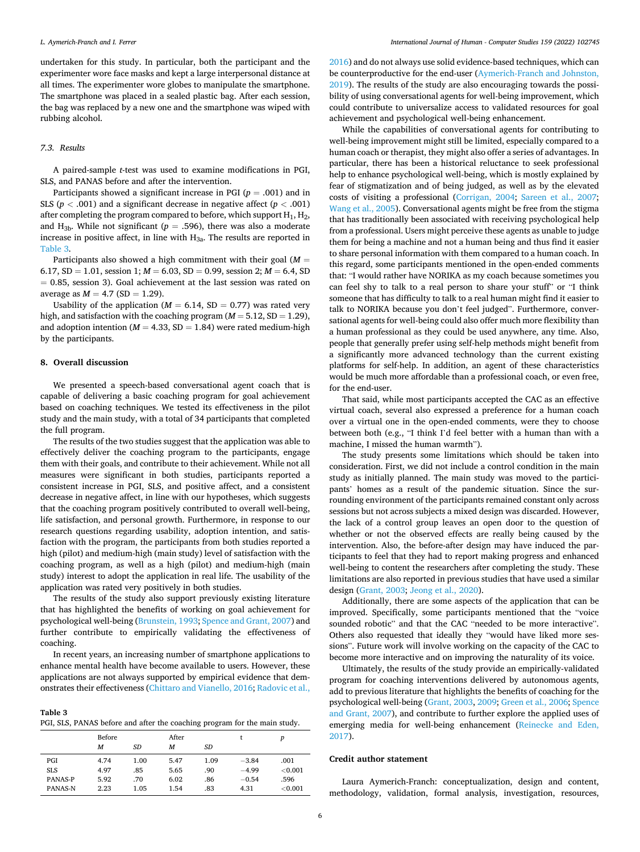undertaken for this study. In particular, both the participant and the experimenter wore face masks and kept a large interpersonal distance at all times. The experimenter wore globes to manipulate the smartphone. The smartphone was placed in a sealed plastic bag. After each session, the bag was replaced by a new one and the smartphone was wiped with rubbing alcohol.

#### *7.3. Results*

A paired-sample *t*-test was used to examine modifications in PGI, SLS, and PANAS before and after the intervention.

Participants showed a significant increase in PGI  $(p = .001)$  and in SLS ( $p < .001$ ) and a significant decrease in negative affect ( $p < .001$ ) after completing the program compared to before, which support  $H_1$ ,  $H_2$ , and H<sub>3b</sub>. While not significant ( $p = .596$ ), there was also a moderate increase in positive affect, in line with  $H_{3a}$ . The results are reported in Table 3.

Participants also showed a high commitment with their goal (*M* = 6.17,  $SD = 1.01$ , session 1;  $M = 6.03$ ,  $SD = 0.99$ , session 2;  $M = 6.4$ , SD  $= 0.85$ , session 3). Goal achievement at the last session was rated on average as  $M = 4.7$  (SD = 1.29).

Usability of the application ( $M = 6.14$ , SD = 0.77) was rated very high, and satisfaction with the coaching program  $(M = 5.12, SD = 1.29)$ , and adoption intention ( $M = 4.33$ , SD = 1.84) were rated medium-high by the participants.

#### **8. Overall discussion**

We presented a speech-based conversational agent coach that is capable of delivering a basic coaching program for goal achievement based on coaching techniques. We tested its effectiveness in the pilot study and the main study, with a total of 34 participants that completed the full program.

The results of the two studies suggest that the application was able to effectively deliver the coaching program to the participants, engage them with their goals, and contribute to their achievement. While not all measures were significant in both studies, participants reported a consistent increase in PGI, SLS, and positive affect, and a consistent decrease in negative affect, in line with our hypotheses, which suggests that the coaching program positively contributed to overall well-being, life satisfaction, and personal growth. Furthermore, in response to our research questions regarding usability, adoption intention, and satisfaction with the program, the participants from both studies reported a high (pilot) and medium-high (main study) level of satisfaction with the coaching program, as well as a high (pilot) and medium-high (main study) interest to adopt the application in real life. The usability of the application was rated very positively in both studies.

The results of the study also support previously existing literature that has highlighted the benefits of working on goal achievement for psychological well-being ([Brunstein, 1993](#page-6-0); [Spence and Grant, 2007\)](#page-6-0) and further contribute to empirically validating the effectiveness of coaching.

In recent years, an increasing number of smartphone applications to enhance mental health have become available to users. However, these applications are not always supported by empirical evidence that demonstrates their effectiveness ([Chittaro and Vianello, 2016](#page-6-0); [Radovic et al.,](#page-6-0) 

**Table 3**  PGI, SLS, PANAS before and after the coaching program for the main study.

|            | Before<br>M | SD   | After<br>M | SD   |         |         |
|------------|-------------|------|------------|------|---------|---------|
| PGI        | 4.74        | 1.00 | 5.47       | 1.09 | $-3.84$ | .001    |
| <b>SLS</b> | 4.97        | .85  | 5.65       | .90  | $-4.99$ | < 0.001 |
| PANAS-P    | 5.92        | .70  | 6.02       | .86  | $-0.54$ | .596    |
| PANAS-N    | 2.23        | 1.05 | 1.54       | .83  | 4.31    | < 0.001 |

[2016\)](#page-6-0) and do not always use solid evidence-based techniques, which can be counterproductive for the end-user [\(Aymerich-Franch and Johnston,](#page-6-0)  [2019\)](#page-6-0). The results of the study are also encouraging towards the possibility of using conversational agents for well-being improvement, which could contribute to universalize access to validated resources for goal achievement and psychological well-being enhancement.

While the capabilities of conversational agents for contributing to well-being improvement might still be limited, especially compared to a human coach or therapist, they might also offer a series of advantages. In particular, there has been a historical reluctance to seek professional help to enhance psychological well-being, which is mostly explained by fear of stigmatization and of being judged, as well as by the elevated costs of visiting a professional ([Corrigan, 2004](#page-6-0); [Sareen et al., 2007](#page-6-0); [Wang et al., 2005\)](#page-6-0). Conversational agents might be free from the stigma that has traditionally been associated with receiving psychological help from a professional. Users might perceive these agents as unable to judge them for being a machine and not a human being and thus find it easier to share personal information with them compared to a human coach. In this regard, some participants mentioned in the open-ended comments that: "I would rather have NORIKA as my coach because sometimes you can feel shy to talk to a real person to share your stuff" or "I think someone that has difficulty to talk to a real human might find it easier to talk to NORIKA because you don't feel judged". Furthermore, conversational agents for well-being could also offer much more flexibility than a human professional as they could be used anywhere, any time. Also, people that generally prefer using self-help methods might benefit from a significantly more advanced technology than the current existing platforms for self-help. In addition, an agent of these characteristics would be much more affordable than a professional coach, or even free, for the end-user.

That said, while most participants accepted the CAC as an effective virtual coach, several also expressed a preference for a human coach over a virtual one in the open-ended comments, were they to choose between both (e.g., "I think I'd feel better with a human than with a machine, I missed the human warmth").

The study presents some limitations which should be taken into consideration. First, we did not include a control condition in the main study as initially planned. The main study was moved to the participants' homes as a result of the pandemic situation. Since the surrounding environment of the participants remained constant only across sessions but not across subjects a mixed design was discarded. However, the lack of a control group leaves an open door to the question of whether or not the observed effects are really being caused by the intervention. Also, the before-after design may have induced the participants to feel that they had to report making progress and enhanced well-being to content the researchers after completing the study. These limitations are also reported in previous studies that have used a similar design ([Grant, 2003](#page-6-0); [Jeong et al., 2020](#page-6-0)).

Additionally, there are some aspects of the application that can be improved. Specifically, some participants mentioned that the "voice sounded robotic" and that the CAC "needed to be more interactive". Others also requested that ideally they "would have liked more sessions". Future work will involve working on the capacity of the CAC to become more interactive and on improving the naturality of its voice.

Ultimately, the results of the study provide an empirically-validated program for coaching interventions delivered by autonomous agents, add to previous literature that highlights the benefits of coaching for the psychological well-being [\(Grant, 2003](#page-6-0), [2009](#page-6-0); [Green et al., 2006; Spence](#page-6-0)  [and Grant, 2007\)](#page-6-0), and contribute to further explore the applied uses of emerging media for well-being enhancement [\(Reinecke and Eden,](#page-6-0)  [2017\)](#page-6-0).

### **Credit author statement**

Laura Aymerich-Franch: conceptualization, design and content, methodology, validation, formal analysis, investigation, resources,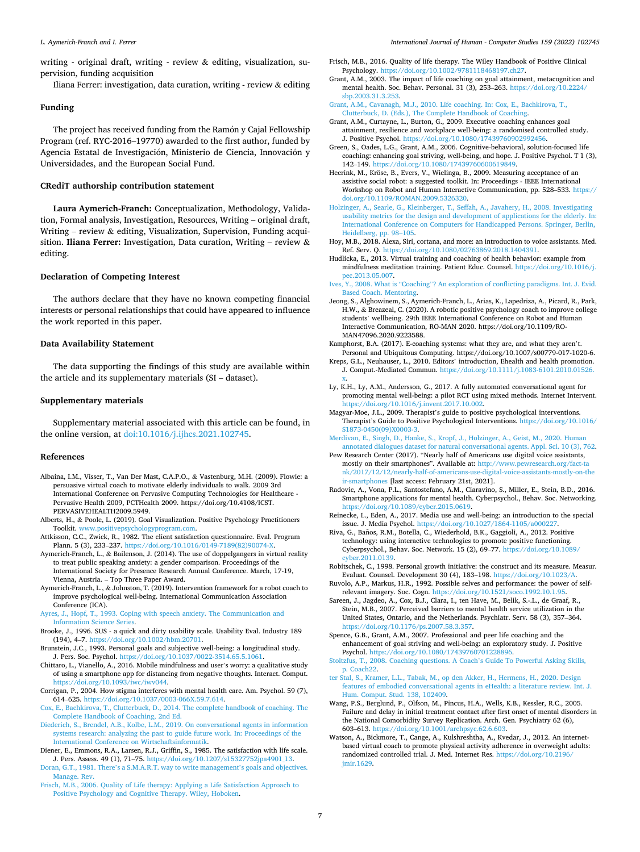<span id="page-6-0"></span>writing - original draft, writing - review & editing, visualization, supervision, funding acquisition

Iliana Ferrer: investigation, data curation, writing - review & editing

#### **Funding**

The project has received funding from the Ramón y Cajal Fellowship Program (ref. RYC-2016–19770) awarded to the first author, funded by Agencia Estatal de Investigación, Ministerio de Ciencia, Innovación y Universidades, and the European Social Fund.

#### **CRediT authorship contribution statement**

**Laura Aymerich-Franch:** Conceptualization, Methodology, Validation, Formal analysis, Investigation, Resources, Writing – original draft, Writing – review  $\&$  editing, Visualization, Supervision, Funding acquisition. **Iliana Ferrer:** Investigation, Data curation, Writing – review & editing.

#### **Declaration of Competing Interest**

The authors declare that they have no known competing financial interests or personal relationships that could have appeared to influence the work reported in this paper.

#### **Data Availability Statement**

The data supporting the findings of this study are available within the article and its supplementary materials (SI – dataset).

#### **Supplementary materials**

Supplementary material associated with this article can be found, in the online version, at [doi:10.1016/j.ijhcs.2021.102745.](https://doi.org/10.1016/j.ijhcs.2021.102745)

#### **References**

- Albaina, I.M., Visser, T., Van Der Mast, C.A.P.O., & Vastenburg, M.H. (2009). Flowie: a persuasive virtual coach to motivate elderly individuals to walk. 2009 3rd International Conference on Pervasive Computing Technologies for Healthcare - Pervasive Health 2009, PCTHealth 2009. https://doi.org/10.4108/ICST. PERVASIVEHEALTH2009.5949.
- Alberts, H., & Poole, L. (2019). Goal Visualization. Positive Psychology Practitioners Toolkit. [www.positivepsychologyprogram.com.](http://www.positivepsychologyprogram.com)
- Attkisson, C.C., Zwick, R., 1982. The client satisfaction questionnaire. Eval. Program Plann. 5 (3), 233–237. [https://doi.org/10.1016/0149-7189\(82\)90074-X.](https://doi.org/10.1016/0149-7189(82)90074-X)
- Aymerich-Franch, L., & Bailenson, J. (2014). The use of doppelgangers in virtual reality to treat public speaking anxiety: a gender comparison. Proceedings of the International Society for Presence Research Annual Conference. March, 17-19, Vienna, Austria. – Top Three Paper Award.
- Aymerich-Franch, L., & Johnston, T. (2019). Intervention framework for a robot coach to improve psychological well-being. International Communication Association Conference (ICA).
- [Ayres, J., Hopf, T., 1993. Coping with speech anxiety. The Communication and](http://refhub.elsevier.com/S1071-5819(21)00163-4/sbref0006)  [Information Science Series](http://refhub.elsevier.com/S1071-5819(21)00163-4/sbref0006).
- Brooke, J., 1996. SUS a quick and dirty usability scale. Usability Eval. Industry 189 (194), 4–7.<https://doi.org/10.1002/hbm.20701>.
- Brunstein, J.C., 1993. Personal goals and subjective well-being: a longitudinal study. J. Pers. Soc. Psychol. [https://doi.org/10.1037/0022-3514.65.5.1061.](https://doi.org/10.1037/0022-3514.65.5.1061)
- Chittaro, L., Vianello, A., 2016. Mobile mindfulness and user's worry: a qualitative study of using a smartphone app for distancing from negative thoughts. Interact. Comput. <https://doi.org/10.1093/iwc/iwv044>.
- Corrigan, P., 2004. How stigma interferes with mental health care. Am. Psychol. 59 (7), 614–625. <https://doi.org/10.1037/0003-066X.59.7.614>.
- [Cox, E., Bachkirova, T., Clutterbuck, D., 2014. The complete handbook of coaching. The](http://refhub.elsevier.com/S1071-5819(21)00163-4/sbref0011)
- [Complete Handbook of Coaching, 2nd Ed.](http://refhub.elsevier.com/S1071-5819(21)00163-4/sbref0011)  [Diederich, S., Brendel, A.B., Kolbe, L.M., 2019. On conversational agents in information](http://refhub.elsevier.com/S1071-5819(21)00163-4/sbref0012)  [systems research: analyzing the past to guide future work. In: Proceedings of the](http://refhub.elsevier.com/S1071-5819(21)00163-4/sbref0012) [International Conference on Wirtschaftsinformatik.](http://refhub.elsevier.com/S1071-5819(21)00163-4/sbref0012)
- Diener, E., Emmons, R.A., Larsen, R.J., Griffin, S., 1985. The satisfaction with life scale. J. Pers. Assess. 49 (1), 71–75. [https://doi.org/10.1207/s15327752jpa4901\\_13](https://doi.org/10.1207/s15327752jpa4901_13).
- Doran, G.T., 1981. There'[s a S.M.A.R.T. way to write management](http://refhub.elsevier.com/S1071-5819(21)00163-4/sbref0014)'s goals and objectives. [Manage. Rev.](http://refhub.elsevier.com/S1071-5819(21)00163-4/sbref0014)
- [Frisch, M.B., 2006. Quality of Life therapy: Applying a Life Satisfaction Approach to](http://refhub.elsevier.com/S1071-5819(21)00163-4/sbref0015) [Positive Psychology and Cognitive Therapy. Wiley, Hoboken](http://refhub.elsevier.com/S1071-5819(21)00163-4/sbref0015).
- Frisch, M.B., 2016. Quality of life therapy. The Wiley Handbook of Positive Clinical Psychology.<https://doi.org/10.1002/9781118468197.ch27>.
- Grant, A.M., 2003. The impact of life coaching on goal attainment, metacognition and mental health. Soc. Behav. Personal. 31 (3), 253–263. [https://doi.org/10.2224/](https://doi.org/10.2224/sbp.2003.31.3.253)  [sbp.2003.31.3.253](https://doi.org/10.2224/sbp.2003.31.3.253).
- [Grant, A.M., Cavanagh, M.J., 2010. Life coaching. In: Cox, E., Bachkirova, T.,](http://refhub.elsevier.com/S1071-5819(21)00163-4/sbref0018) [Clutterbuck, D. \(Eds.\), The Complete Handbook of Coaching.](http://refhub.elsevier.com/S1071-5819(21)00163-4/sbref0018)
- Grant, A.M., Curtayne, L., Burton, G., 2009. Executive coaching enhances goal attainment, resilience and workplace well-being: a randomised controlled study. J. Positive Psychol.<https://doi.org/10.1080/17439760902992456>.
- Green, S., Oades, L.G., Grant, A.M., 2006. Cognitive-behavioral, solution-focused life coaching: enhancing goal striving, well-being, and hope. J. Positive Psychol. T 1 (3), 142–149. <https://doi.org/10.1080/17439760600619849>.
- Heerink, M., Kröse, B., Evers, V., Wielinga, B., 2009. Measuring acceptance of an assistive social robot: a suggested toolkit. In: Proceedings - IEEE International Workshop on Robot and Human Interactive Communication, pp. 528–533. [https://](https://doi.org/10.1109/ROMAN.2009.5326320)  [doi.org/10.1109/ROMAN.2009.5326320.](https://doi.org/10.1109/ROMAN.2009.5326320)
- [Holzinger, A., Searle, G., Kleinberger, T., Seffah, A., Javahery, H., 2008. Investigating](http://refhub.elsevier.com/S1071-5819(21)00163-4/sbref0022)  [usability metrics for the design and development of applications for the elderly. In:](http://refhub.elsevier.com/S1071-5819(21)00163-4/sbref0022)  [International Conference on Computers for Handicapped Persons. Springer, Berlin,](http://refhub.elsevier.com/S1071-5819(21)00163-4/sbref0022) [Heidelberg, pp. 98](http://refhub.elsevier.com/S1071-5819(21)00163-4/sbref0022)–105.
- Hoy, M.B., 2018. Alexa, Siri, cortana, and more: an introduction to voice assistants. Med. Ref. Serv. Q. <https://doi.org/10.1080/02763869.2018.1404391>.
- Hudlicka, E., 2013. Virtual training and coaching of health behavior: example from mindfulness meditation training. Patient Educ. Counsel. [https://doi.org/10.1016/j.](https://doi.org/10.1016/j.pec.2013.05.007) [pec.2013.05.007.](https://doi.org/10.1016/j.pec.2013.05.007)
- Ives, Y., 2008. What is "Coaching"[? An exploration of conflicting paradigms. Int. J. Evid.](http://refhub.elsevier.com/S1071-5819(21)00163-4/sbref0025)  [Based Coach. Mentoring.](http://refhub.elsevier.com/S1071-5819(21)00163-4/sbref0025)
- Jeong, S., Alghowinem, S., Aymerich-Franch, L., Arias, K., Lapedriza, A., Picard, R., Park, H.W., & Breazeal, C. (2020). A robotic positive psychology coach to improve college students' wellbeing. 29th IEEE International Conference on Robot and Human Interactive Communication, RO-MAN 2020. https://doi.org/10.1109/RO-MAN47096.2020.9223588.
- Kamphorst, B.A. (2017). E-coaching systems: what they are, and what they aren't. Personal and Ubiquitous Computing. https://doi.org/10.1007/s00779-017-1020-6.
- Kreps, G.L., Neuhauser, L., 2010. Editors' introduction, Ehealth and health promotion. J. Comput.-Mediated Commun. [https://doi.org/10.1111/j.1083-6101.2010.01526.](https://doi.org/10.1111/j.1083-6101.2010.01526.x)
- [x.](https://doi.org/10.1111/j.1083-6101.2010.01526.x) Ly, K.H., Ly, A.M., Andersson, G., 2017. A fully automated conversational agent for promoting mental well-being: a pilot RCT using mixed methods. Internet Intervent. <https://doi.org/10.1016/j.invent.2017.10.002>.
- Magyar-Moe, J.L., 2009. Therapist's guide to positive psychological interventions. Therapist's Guide to Positive Psychological Interventions. [https://doi.org/10.1016/](https://doi.org/10.1016/S1873-0450(09)X0003-3)  [S1873-0450\(09\)X0003-3.](https://doi.org/10.1016/S1873-0450(09)X0003-3)
- [Merdivan, E., Singh, D., Hanke, S., Kropf, J., Holzinger, A., Geist, M., 2020. Human](http://refhub.elsevier.com/S1071-5819(21)00163-4/sbref0031)  [annotated dialogues dataset for natural conversational agents. Appl. Sci. 10 \(3\), 762.](http://refhub.elsevier.com/S1071-5819(21)00163-4/sbref0031)
- Pew Research Center (2017). "Nearly half of Americans use digital voice assistants, mostly on their smartphones". Available at: [http://www.pewresearch.org/fact-ta](http://www.pewresearch.org/fact-tank/2017/12/12/nearly-half-of-americans-use-digital-voice-assistants-mostly-on-their-smartphones)  [nk/2017/12/12/nearly-half-of-americans-use-digital-voice-assistants-mostly-on-the](http://www.pewresearch.org/fact-tank/2017/12/12/nearly-half-of-americans-use-digital-voice-assistants-mostly-on-their-smartphones)  [ir-smartphones](http://www.pewresearch.org/fact-tank/2017/12/12/nearly-half-of-americans-use-digital-voice-assistants-mostly-on-their-smartphones) [last access: February 21st, 2021].
- Radovic, A., Vona, P.L., Santostefano, A.M., Ciaravino, S., Miller, E., Stein, B.D., 2016. Smartphone applications for mental health. Cyberpsychol., Behav. Soc. Networking. <https://doi.org/10.1089/cyber.2015.0619>.
- Reinecke, L., Eden, A., 2017. Media use and well-being: an introduction to the special issue. J. Media Psychol. [https://doi.org/10.1027/1864-1105/a000227.](https://doi.org/10.1027/1864-1105/a000227)
- Riva, G., Baños, R.M., Botella, C., Wiederhold, B.K., Gaggioli, A., 2012. Positive technology: using interactive technologies to promote positive functioning. Cyberpsychol., Behav. Soc. Network. 15 (2), 69–77. [https://doi.org/10.1089/](https://doi.org/10.1089/cyber.2011.0139) [cyber.2011.0139](https://doi.org/10.1089/cyber.2011.0139).
- Robitschek, C., 1998. Personal growth initiative: the construct and its measure. Measur. Evaluat. Counsel. Development 30 (4), 183–198. [https://doi.org/10.1023/A.](https://doi.org/10.1023/A)
- Ruvolo, A.P., Markus, H.R., 1992. Possible selves and performance: the power of selfrelevant imagery. Soc. Cogn. <https://doi.org/10.1521/soco.1992.10.1.95>.
- Sareen, J., Jagdeo, A., Cox, B.J., Clara, I., ten Have, M., Belik, S.-.L., de Graaf, R., Stein, M.B., 2007. Perceived barriers to mental health service utilization in the United States, Ontario, and the Netherlands. Psychiatr. Serv. 58 (3), 357–364. <https://doi.org/10.1176/ps.2007.58.3.357>.
- Spence, G.B., Grant, A.M., 2007. Professional and peer life coaching and the enhancement of goal striving and well-being: an exploratory study. J. Positive Psychol. [https://doi.org/10.1080/17439760701228896.](https://doi.org/10.1080/17439760701228896)
- [Stoltzfus, T., 2008. Coaching questions. A Coach](http://refhub.elsevier.com/S1071-5819(21)00163-4/sbref0040)'s Guide To Powerful Asking Skills, [p. Coach22.](http://refhub.elsevier.com/S1071-5819(21)00163-4/sbref0040)
- [ter Stal, S., Kramer, L.L., Tabak, M., op den Akker, H., Hermens, H., 2020. Design](http://refhub.elsevier.com/S1071-5819(21)00163-4/sbref0041)  [features of embodied conversational agents in eHealth: a literature review. Int. J.](http://refhub.elsevier.com/S1071-5819(21)00163-4/sbref0041) [Hum. Comput. Stud. 138, 102409](http://refhub.elsevier.com/S1071-5819(21)00163-4/sbref0041).
- Wang, P.S., Berglund, P., Olfson, M., Pincus, H.A., Wells, K.B., Kessler, R.C., 2005. Failure and delay in initial treatment contact after first onset of mental disorders in the National Comorbidity Survey Replication. Arch. Gen. Psychiatry 62 (6), 603–613. [https://doi.org/10.1001/archpsyc.62.6.603.](https://doi.org/10.1001/archpsyc.62.6.603)
- Watson, A., Bickmore, T., Cange, A., Kulshreshtha, A., Kvedar, J., 2012. An internetbased virtual coach to promote physical activity adherence in overweight adults: randomized controlled trial. J. Med. Internet Res. [https://doi.org/10.2196/](https://doi.org/10.2196/jmir.1629)  [jmir.1629](https://doi.org/10.2196/jmir.1629).